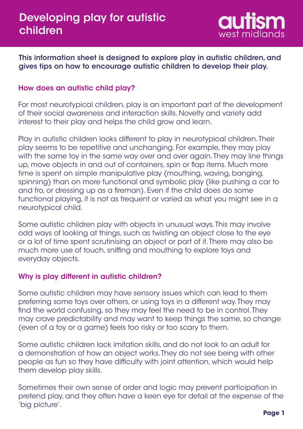

This information sheet is designed to explore play in autistic children, and gives tips on how to encourage autistic children to develop their play.

# How does an autistic child play?

For most neurotypical children, play is an important part of the development of their social awareness and interaction skills. Novelty and variety add interest to their play and helps the child grow and learn.

Play in autistic children looks different to play in neurotypical children. Their play seems to be repetitive and unchanging. For example, they may play with the same toy in the same way over and over again. They may line things up, move objects in and out of containers, spin or flap items. Much more time is spent on simple manipulative play (mouthing, waving, banging, spinning) than on more functional and symbolic play (like pushing a car to and fro, or dressing up as a fireman). Even if the child does do some functional playing, it is not as frequent or varied as what you might see in a neurotypical child.

Some autistic children play with objects in unusual ways. This may involve odd ways of looking at things, such as twisting an object close to the eye or a lot of time spent scrutinising an object or part of it. There may also be much more use of touch, sniffing and mouthing to explore toys and everyday objects.

## Why is play different in autistic children?

Some autistic children may have sensory issues which can lead to them preferring some toys over others, or using toys in a different way. They may find the world confusing, so they may feel the need to be in control. They may crave predictability and may want to keep things the same, so change (even of a toy or a game) feels too risky or too scary to them.

Some autistic children lack imitation skills, and do not look to an adult for a demonstration of how an object works. They do not see being with other people as fun so they have difficulty with joint attention, which would help them develop play skills.

Sometimes their own sense of order and logic may prevent participation in pretend play, and they often have a keen eye for detail at the expense of the 'big picture'.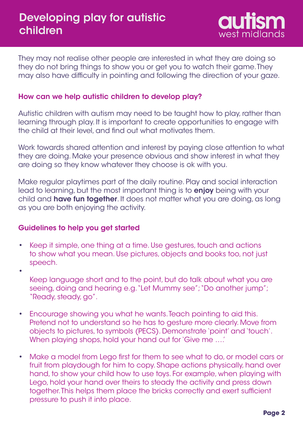

They may not realise other people are interested in what they are doing so they do not bring things to show you or get you to watch their game. They may also have difficulty in pointing and following the direction of your gaze.

### How can we help autistic children to develop play?

Autistic children with autism may need to be taught how to play, rather than learning through play. It is important to create opportunities to engage with the child at their level, and find out what motivates them.

Work towards shared attention and interest by paying close attention to what they are doing. Make your presence obvious and show interest in what they are doing so they know whatever they choose is ok with you.

Make regular playtimes part of the daily routine. Play and social interaction lead to learning, but the most important thing is to **enjoy** being with your child and **have fun together**. It does not matter what you are doing, as long as you are both enjoying the activity.

### Guidelines to help you get started

- Keep it simple, one thing at a time. Use gestures, touch and actions to show what you mean. Use pictures, objects and books too, not just speech. •
- Keep language short and to the point, but do talk about what you are seeing, doing and hearing e.g. "Let Mummy see"; "Do another jump"; "Ready, steady, go". •
- Encourage showing you what he wants. Teach pointing to aid this. Pretend not to understand so he has to gesture more clearly. Move from objects to pictures, to symbols (PECS). Demonstrate 'point' and 'touch'. When playing shops, hold your hand out for 'Give me ….' •
- Make a model from Lego first for them to see what to do, or model cars or fruit from playdough for him to copy. Shape actions physically, hand over hand, to show your child how to use toys. For example, when playing with Lego, hold your hand over theirs to steady the activity and press down together. This helps them place the bricks correctly and exert sufficient pressure to push it into place. •